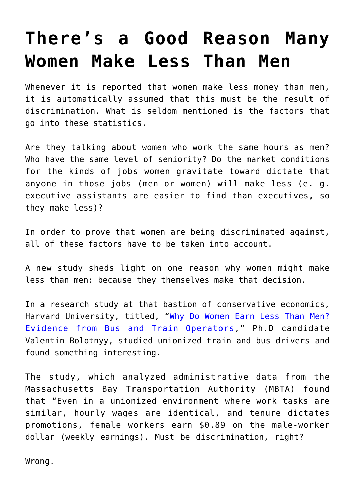## **[There's a Good Reason Many](https://intellectualtakeout.org/2018/11/theres-a-good-reason-many-women-make-less-than-men/) [Women Make Less Than Men](https://intellectualtakeout.org/2018/11/theres-a-good-reason-many-women-make-less-than-men/)**

Whenever it is reported that women make less money than men, it is automatically assumed that this must be the result of discrimination. What is seldom mentioned is the factors that go into these statistics.

Are they talking about women who work the same hours as men? Who have the same level of seniority? Do the market conditions for the kinds of jobs women gravitate toward dictate that anyone in those jobs (men or women) will make less (e. g. executive assistants are easier to find than executives, so they make less)?

In order to prove that women are being discriminated against, all of these factors have to be taken into account.

A new study sheds light on one reason why women might make less than men: because they themselves make that decision.

In a research study at that bastion of conservative economics, Harvard University, titled, "[Why Do Women Earn Less Than Men?](https://scholar.harvard.edu/bolotnyy/publications/why-do-women-earn-less-men-evidence-bus-and-train-operators-job-market-paper) [Evidence from Bus and Train Operators](https://scholar.harvard.edu/bolotnyy/publications/why-do-women-earn-less-men-evidence-bus-and-train-operators-job-market-paper)," Ph.D candidate Valentin Bolotnyy, studied unionized train and bus drivers and found something interesting.

The study, which analyzed administrative data from the Massachusetts Bay Transportation Authority (MBTA) found that "Even in a unionized environment where work tasks are similar, hourly wages are identical, and tenure dictates promotions, female workers earn \$0.89 on the male-worker dollar (weekly earnings). Must be discrimination, right?

Wrong.